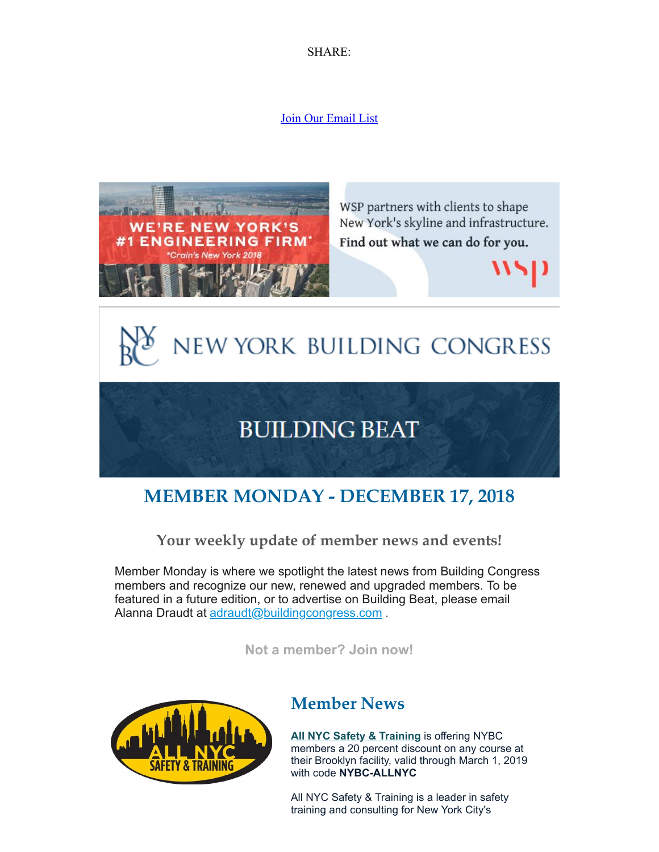SHARE:

#### [Join Our Email List](https://visitor.constantcontact.com/d.jsp?m=1125509920335&p=oi)



# **MEMBER MONDAY - DECEMBER 17, 2018**

#### **Your weekly update of member news and events!**

Member Monday is where we spotlight the latest news from Building Congress members and recognize our new, renewed and upgraded members. To be featured in a future edition, or to advertise on Building Beat, please email Alanna Draudt at [adraudt@buildingcongress.com](mailto:adraudt@buildingcongress.com).

**[Not a member? Join now!](https://www.buildingcongress.com/membership/membership-benefits)**



### **Member News**

**[All NYC Safety & Training](https://www.allnycsafety.com/)** is offering NYBC members a 20 percent discount on any course at their Brooklyn facility, valid through March 1, 2019 with code **NYBC-ALLNYC**

All NYC Safety & Training is a leader in safety training and consulting for New York City's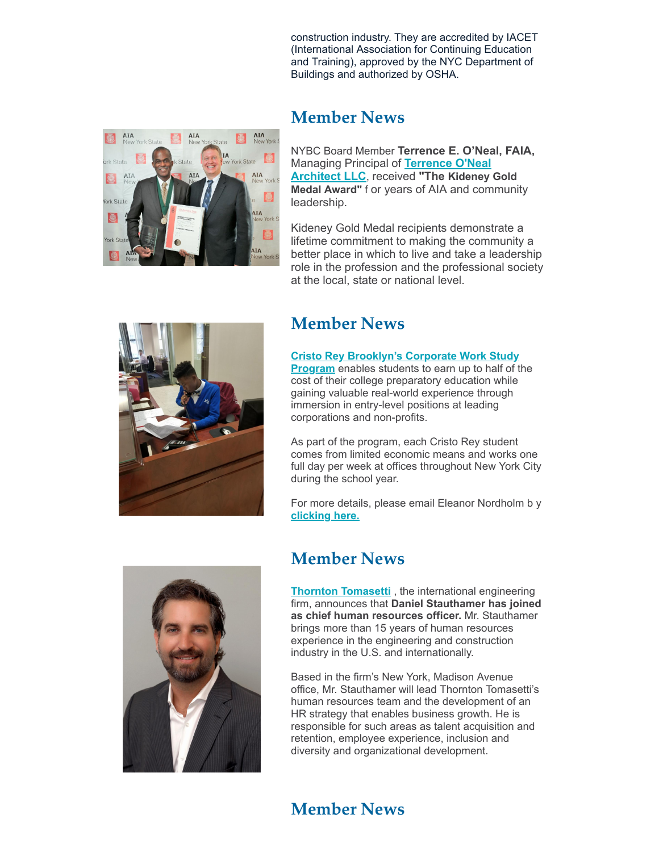construction industry. They are accredited by IACET (International Association for Continuing Education and Training), approved by the NYC Department of Buildings and authorized by OSHA.



#### **Member News**

NYBC Board Member **Terrence E. O'Neal, FAIA,** [Managing Principal](http://www.terrenceoneal.com/) of **Terrence O'Neal Architect LLC**, received **"The Kideney Gold Medal Award"** f or years of AIA and community leadership.

Kideney Gold Medal recipients demonstrate a lifetime commitment to making the community a better place in which to live and take a leadership role in the profession and the professional society at the local, state or national level.



### **Member News**

#### **[Cristo Rey Brooklyn's Corporate Work Study](http://www.cristoreybrooklyn.org/cwsp)**

**Program** enables students to earn up to half of the cost of their college preparatory education while gaining valuable real-world experience through immersion in entry-level positions at leading corporations and non-profits.

As part of the program, each Cristo Rey student comes from limited economic means and works one full day per week at offices throughout New York City during the school year.

For more details, please email Eleanor Nordholm b y **[clicking here.](mailto:enordholm@cristoreybrooklyn.org)**



### **Member News**

**[Thornton Tomasetti](https://www.thorntontomasetti.com/)** , the international engineering firm, announces that **Daniel Stauthamer has joined as chief human resources officer.** Mr. Stauthamer brings more than 15 years of human resources experience in the engineering and construction industry in the U.S. and internationally.

Based in the firm's New York, Madison Avenue office, Mr. Stauthamer will lead Thornton Tomasetti's human resources team and the development of an HR strategy that enables business growth. He is responsible for such areas as talent acquisition and retention, employee experience, inclusion and diversity and organizational development.

## **Member News**